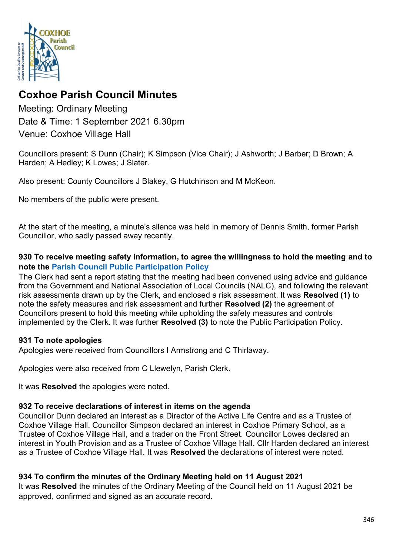

# **Coxhoe Parish Council Minutes**

Meeting: Ordinary Meeting Date & Time: 1 September 2021 6.30pm Venue: Coxhoe Village Hall

Councillors present: S Dunn (Chair); K Simpson (Vice Chair); J Ashworth; J Barber; D Brown; A Harden; A Hedley; K Lowes; J Slater.

Also present: County Councillors J Blakey, G Hutchinson and M McKeon.

No members of the public were present.

At the start of the meeting, a minute's silence was held in memory of Dennis Smith, former Parish Councillor, who sadly passed away recently.

### **930 To receive meeting safety information, to agree the willingness to hold the meeting and to note the [Parish Council Public Participation Policy](http://coxhoeparishcouncil.gov.uk/important-documents-and-policies/public-participation-policy-fmarch-2020-review-date-march-2022/)**

The Clerk had sent a report stating that the meeting had been convened using advice and guidance from the Government and National Association of Local Councils (NALC), and following the relevant risk assessments drawn up by the Clerk, and enclosed a risk assessment. It was **Resolved (1)** to note the safety measures and risk assessment and further **Resolved (2)** the agreement of Councillors present to hold this meeting while upholding the safety measures and controls implemented by the Clerk. It was further **Resolved (3)** to note the Public Participation Policy.

## **931 To note apologies**

Apologies were received from Councillors I Armstrong and C Thirlaway.

Apologies were also received from C Llewelyn, Parish Clerk.

It was **Resolved** the apologies were noted.

### **932 To receive declarations of interest in items on the agenda**

Councillor Dunn declared an interest as a Director of the Active Life Centre and as a Trustee of Coxhoe Village Hall. Councillor Simpson declared an interest in Coxhoe Primary School, as a Trustee of Coxhoe Village Hall, and a trader on the Front Street. Councillor Lowes declared an interest in Youth Provision and as a Trustee of Coxhoe Village Hall. Cllr Harden declared an interest as a Trustee of Coxhoe Village Hall. It was **Resolved** the declarations of interest were noted.

## **934 To confirm the minutes of the Ordinary Meeting held on 11 August 2021**

It was **Resolved** the minutes of the Ordinary Meeting of the Council held on 11 August 2021 be approved, confirmed and signed as an accurate record.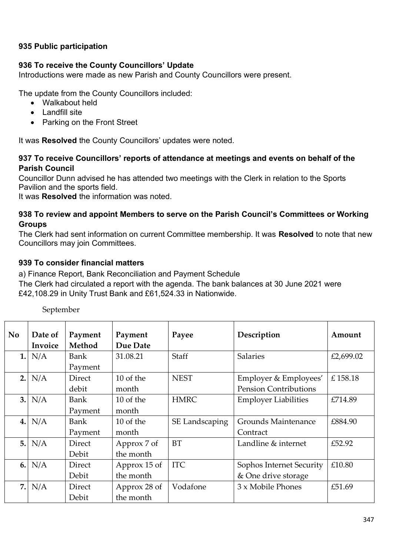### **935 Public participation**

#### **936 To receive the County Councillors' Update**

Introductions were made as new Parish and County Councillors were present.

The update from the County Councillors included:

- Walkabout held
- Landfill site
- Parking on the Front Street

It was **Resolved** the County Councillors' updates were noted.

#### **937 To receive Councillors' reports of attendance at meetings and events on behalf of the Parish Council**

Councillor Dunn advised he has attended two meetings with the Clerk in relation to the Sports Pavilion and the sports field.

It was **Resolved** the information was noted.

#### **938 To review and appoint Members to serve on the Parish Council's Committees or Working Groups**

The Clerk had sent information on current Committee membership. It was **Resolved** to note that new Councillors may join Committees.

### **939 To consider financial matters**

a) Finance Report, Bank Reconciliation and Payment Schedule

The Clerk had circulated a report with the agenda. The bank balances at 30 June 2021 were £42,108.29 in Unity Trust Bank and £61,524.33 in Nationwide.

| N <sub>0</sub> | Date of<br>Invoice | Payment<br>Method | Payment<br>Due Date | Payee          | Description                  | Amount    |
|----------------|--------------------|-------------------|---------------------|----------------|------------------------------|-----------|
| 1.             | N/A                | Bank              | 31.08.21            | <b>Staff</b>   | <b>Salaries</b>              | £2,699.02 |
|                |                    | Payment           |                     |                |                              |           |
| 2.             | N/A                | <b>Direct</b>     | 10 of the           | <b>NEST</b>    | Employer & Employees'        | £158.18   |
|                |                    | debit             | month               |                | <b>Pension Contributions</b> |           |
| 3.             | N/A                | Bank              | 10 of the           | <b>HMRC</b>    | <b>Employer Liabilities</b>  | £714.89   |
|                |                    | Payment           | month               |                |                              |           |
| 4.             | N/A                | Bank              | 10 of the           | SE Landscaping | Grounds Maintenance          | £884.90   |
|                |                    | Payment           | month               |                | Contract                     |           |
| 5.             | N/A                | <b>Direct</b>     | Approx 7 of         | <b>BT</b>      | Landline & internet          | £52.92    |
|                |                    | Debit             | the month           |                |                              |           |
| 6.             | N/A                | <b>Direct</b>     | Approx 15 of        | <b>ITC</b>     | Sophos Internet Security     | £10.80    |
|                |                    | Debit             | the month           |                | & One drive storage          |           |
| 7.             | N/A                | <b>Direct</b>     | Approx 28 of        | Vodafone       | 3 x Mobile Phones            | £51.69    |
|                |                    | Debit             | the month           |                |                              |           |

September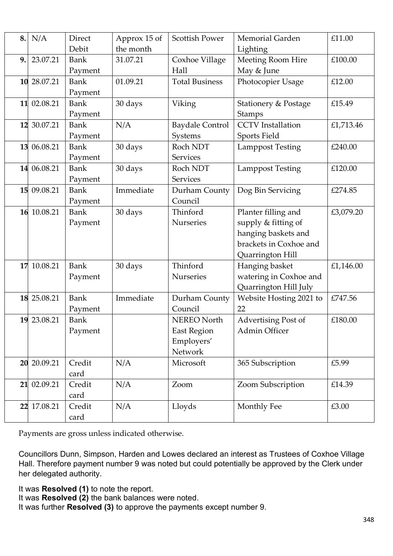| 8. | N/A         | <b>Direct</b><br>Debit | Approx 15 of<br>the month | <b>Scottish Power</b>  | Memorial Garden                 | £11.00    |
|----|-------------|------------------------|---------------------------|------------------------|---------------------------------|-----------|
| 9. | 23.07.21    | <b>Bank</b>            | 31.07.21                  |                        | Lighting                        | £100.00   |
|    |             |                        |                           | Coxhoe Village<br>Hall | Meeting Room Hire               |           |
|    |             | Payment                |                           |                        | May & June                      |           |
|    | 10 28.07.21 | <b>Bank</b>            | 01.09.21                  | <b>Total Business</b>  | Photocopier Usage               | £12.00    |
|    |             | Payment                |                           |                        |                                 |           |
|    | 11 02.08.21 | <b>Bank</b>            | 30 days                   | Viking                 | <b>Stationery &amp; Postage</b> | £15.49    |
|    |             | Payment                |                           |                        | Stamps                          |           |
|    | 12 30.07.21 | <b>Bank</b>            | N/A                       | <b>Baydale Control</b> | <b>CCTV</b> Installation        | £1,713.46 |
|    |             | Payment                |                           | Systems                | Sports Field                    |           |
|    | 13 06.08.21 | <b>Bank</b>            | 30 days                   | Roch NDT               | <b>Lamppost Testing</b>         | £240.00   |
|    |             | Payment                |                           | <b>Services</b>        |                                 |           |
|    | 14 06.08.21 | <b>Bank</b>            | 30 days                   | Roch NDT               | <b>Lamppost Testing</b>         | £120.00   |
|    |             | Payment                |                           | <b>Services</b>        |                                 |           |
|    | 15 09.08.21 | <b>Bank</b>            | Immediate                 | Durham County          | Dog Bin Servicing               | £274.85   |
|    |             | Payment                |                           | Council                |                                 |           |
|    | 16 10.08.21 | <b>Bank</b>            | 30 days                   | Thinford               | Planter filling and             | £3,079.20 |
|    |             | Payment                |                           | Nurseries              | supply & fitting of             |           |
|    |             |                        |                           |                        | hanging baskets and             |           |
|    |             |                        |                           |                        | brackets in Coxhoe and          |           |
|    |             |                        |                           |                        | Quarrington Hill                |           |
|    | 17 10.08.21 | <b>Bank</b>            | 30 days                   | Thinford               | Hanging basket                  | £1,146.00 |
|    |             | Payment                |                           | Nurseries              | watering in Coxhoe and          |           |
|    |             |                        |                           |                        | Quarrington Hill July           |           |
|    | 18 25.08.21 | <b>Bank</b>            | Immediate                 | Durham County          | Website Hosting 2021 to         | £747.56   |
|    |             | Payment                |                           | Council                | 22                              |           |
|    | 19 23.08.21 | <b>Bank</b>            |                           | NEREO North            | Advertising Post of             | £180.00   |
|    |             | Payment                |                           | <b>East Region</b>     | Admin Officer                   |           |
|    |             |                        |                           | Employers'             |                                 |           |
|    |             |                        |                           | Network                |                                 |           |
|    | 20 20.09.21 | Credit                 | N/A                       | Microsoft              | 365 Subscription                | £5.99     |
|    |             | card                   |                           |                        |                                 |           |
|    | 21 02.09.21 | Credit                 | N/A                       | Zoom                   | Zoom Subscription               | £14.39    |
|    |             | card                   |                           |                        |                                 |           |
|    | 22 17.08.21 | Credit                 | N/A                       | Lloyds                 | Monthly Fee                     | £3.00     |
|    |             | card                   |                           |                        |                                 |           |

Payments are gross unless indicated otherwise.

Councillors Dunn, Simpson, Harden and Lowes declared an interest as Trustees of Coxhoe Village Hall. Therefore payment number 9 was noted but could potentially be approved by the Clerk under her delegated authority.

It was **Resolved (1)** to note the report.

It was **Resolved (2)** the bank balances were noted.

It was further **Resolved (3)** to approve the payments except number 9.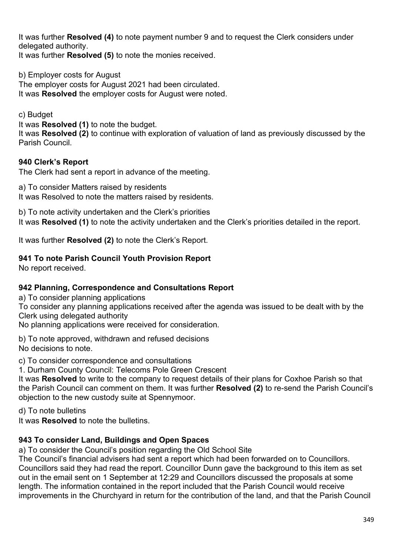It was further **Resolved (4)** to note payment number 9 and to request the Clerk considers under delegated authority.

It was further **Resolved (5)** to note the monies received.

b) Employer costs for August The employer costs for August 2021 had been circulated. It was **Resolved** the employer costs for August were noted.

c) Budget

It was **Resolved (1)** to note the budget.

It was **Resolved (2)** to continue with exploration of valuation of land as previously discussed by the Parish Council.

## **940 Clerk's Report**

The Clerk had sent a report in advance of the meeting.

a) To consider Matters raised by residents It was Resolved to note the matters raised by residents.

b) To note activity undertaken and the Clerk's priorities It was **Resolved (1)** to note the activity undertaken and the Clerk's priorities detailed in the report.

It was further **Resolved (2)** to note the Clerk's Report.

## **941 To note Parish Council Youth Provision Report**

No report received.

## **942 Planning, Correspondence and Consultations Report**

a) To consider planning applications

To consider any planning applications received after the agenda was issued to be dealt with by the Clerk using delegated authority

No planning applications were received for consideration.

b) To note approved, withdrawn and refused decisions No decisions to note.

c) To consider correspondence and consultations

1. Durham County Council: Telecoms Pole Green Crescent

It was **Resolved** to write to the company to request details of their plans for Coxhoe Parish so that the Parish Council can comment on them. It was further **Resolved (2)** to re-send the Parish Council's objection to the new custody suite at Spennymoor.

d) To note bulletins

It was **Resolved** to note the bulletins.

## **943 To consider Land, Buildings and Open Spaces**

a) To consider the Council's position regarding the Old School Site

The Council's financial advisers had sent a report which had been forwarded on to Councillors. Councillors said they had read the report. Councillor Dunn gave the background to this item as set out in the email sent on 1 September at 12:29 and Councillors discussed the proposals at some length. The information contained in the report included that the Parish Council would receive improvements in the Churchyard in return for the contribution of the land, and that the Parish Council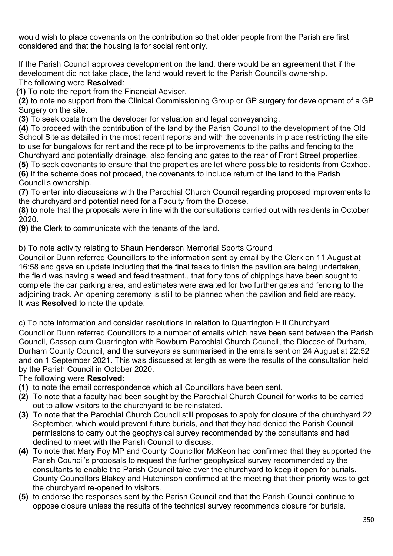would wish to place covenants on the contribution so that older people from the Parish are first considered and that the housing is for social rent only.

If the Parish Council approves development on the land, there would be an agreement that if the development did not take place, the land would revert to the Parish Council's ownership. The following were **Resolved**:

**(1)** To note the report from the Financial Adviser.

**(2)** to note no support from the Clinical Commissioning Group or GP surgery for development of a GP Surgery on the site.

**(3)** To seek costs from the developer for valuation and legal conveyancing.

**(4)** To proceed with the contribution of the land by the Parish Council to the development of the Old School Site as detailed in the most recent reports and with the covenants in place restricting the site to use for bungalows for rent and the receipt to be improvements to the paths and fencing to the Churchyard and potentially drainage, also fencing and gates to the rear of Front Street properties.

**(5)** To seek covenants to ensure that the properties are let where possible to residents from Coxhoe. **(6)** If the scheme does not proceed, the covenants to include return of the land to the Parish Council's ownership.

**(7)** To enter into discussions with the Parochial Church Council regarding proposed improvements to the churchyard and potential need for a Faculty from the Diocese.

**(8)** to note that the proposals were in line with the consultations carried out with residents in October 2020.

**(9)** the Clerk to communicate with the tenants of the land.

b) To note activity relating to Shaun Henderson Memorial Sports Ground

Councillor Dunn referred Councillors to the information sent by email by the Clerk on 11 August at 16:58 and gave an update including that the final tasks to finish the pavilion are being undertaken, the field was having a weed and feed treatment., that forty tons of chippings have been sought to complete the car parking area, and estimates were awaited for two further gates and fencing to the adjoining track. An opening ceremony is still to be planned when the pavilion and field are ready. It was **Resolved** to note the update.

c) To note information and consider resolutions in relation to Quarrington Hill Churchyard

Councillor Dunn referred Councillors to a number of emails which have been sent between the Parish Council, Cassop cum Quarrington with Bowburn Parochial Church Council, the Diocese of Durham, Durham County Council, and the surveyors as summarised in the emails sent on 24 August at 22:52 and on 1 September 2021. This was discussed at length as were the results of the consultation held by the Parish Council in October 2020.

## The following were **Resolved**:

- **(1)** to note the email correspondence which all Councillors have been sent.
- **(2)** To note that a faculty had been sought by the Parochial Church Council for works to be carried out to allow visitors to the churchyard to be reinstated.
- **(3)** To note that the Parochial Church Council still proposes to apply for closure of the churchyard 22 September, which would prevent future burials, and that they had denied the Parish Council permissions to carry out the geophysical survey recommended by the consultants and had declined to meet with the Parish Council to discuss.
- **(4)** To note that Mary Foy MP and County Councillor McKeon had confirmed that they supported the Parish Council's proposals to request the further geophysical survey recommended by the consultants to enable the Parish Council take over the churchyard to keep it open for burials. County Councillors Blakey and Hutchinson confirmed at the meeting that their priority was to get the churchyard re-opened to visitors.
- **(5)** to endorse the responses sent by the Parish Council and that the Parish Council continue to oppose closure unless the results of the technical survey recommends closure for burials.